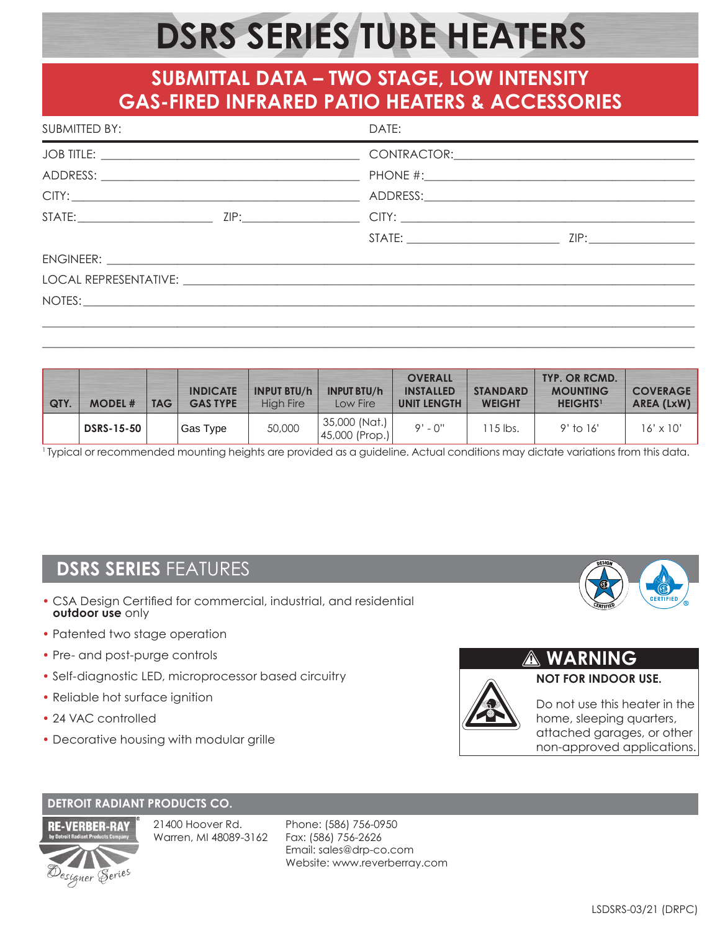# **DSRS SERIES TUBE HEATERS**

## **SUBMITTAL DATA – TWO STAGE, LOW INTENSITY GAS-FIRED INFRARED PATIO HEATERS & ACCESSORIES**

| SUBMITTED BY:<br>the contract of the contract of the contract of the contract of the contract of the contract of the contract of | DATE:<br><u> 1989 - Johann Stoff, amerikansk politiker (d. 1989)</u> |  |  |  |  |
|----------------------------------------------------------------------------------------------------------------------------------|----------------------------------------------------------------------|--|--|--|--|
|                                                                                                                                  |                                                                      |  |  |  |  |
|                                                                                                                                  |                                                                      |  |  |  |  |
|                                                                                                                                  |                                                                      |  |  |  |  |
|                                                                                                                                  |                                                                      |  |  |  |  |
|                                                                                                                                  |                                                                      |  |  |  |  |
|                                                                                                                                  |                                                                      |  |  |  |  |
|                                                                                                                                  |                                                                      |  |  |  |  |
| NOTES:                                                                                                                           |                                                                      |  |  |  |  |
|                                                                                                                                  |                                                                      |  |  |  |  |

| <b>QTY.</b> | <b>MODEL#</b>     | <b>TAG</b> | <b>INDICATE</b><br><b>GAS TYPE</b> | <b>INPUT BTU/h</b><br><b>High Fire</b> | <b>INPUT BTU/h</b><br>Low Fire  | <b>OVERALL</b><br><b>INSTALLED</b><br><b>UNIT LENGTH</b> | <b>STANDARD</b><br><b>WEIGHT</b> | TYP. OR RCMD.<br><b>MOUNTING</b><br><b>HEIGHTS</b> <sup>1</sup> | <b>COVERAGE</b><br><b>AREA (LxW)</b> |
|-------------|-------------------|------------|------------------------------------|----------------------------------------|---------------------------------|----------------------------------------------------------|----------------------------------|-----------------------------------------------------------------|--------------------------------------|
|             | <b>DSRS-15-50</b> |            | Gas Type                           | 50,000                                 | 35,000 (Nat.)<br>45,000 (Prop.) | $9' - 0''$                                               | $15$ lbs.                        | $9'$ to 16'                                                     | $16' \times 10'$                     |

\_\_\_\_\_\_\_\_\_\_\_\_\_\_\_\_\_\_\_\_\_\_\_\_\_\_\_\_\_\_\_\_\_\_\_\_\_\_\_\_\_\_\_\_\_\_\_\_\_\_\_\_\_\_\_\_\_\_\_\_\_\_\_\_\_\_\_\_\_\_\_\_\_\_\_\_\_\_\_\_\_\_\_\_\_\_\_\_\_\_\_\_\_\_\_\_\_\_\_\_\_\_\_\_\_\_\_\_\_\_\_

<sup>1</sup> Typical or recommended mounting heights are provided as a guideline. Actual conditions may dictate variations from this data.

## **DSRS SERIES** FEATURES

- CSA Design Certified for commercial, industrial, and residential **outdoor use** only
- Patented two stage operation
- Pre- and post-purge controls
- Self-diagnostic LED, microprocessor based circuitry
- Reliable hot surface ignition
- 24 VAC controlled
- Decorative housing with modular grille



Do not use this heater in the home, sleeping quarters, attached garages, or other non-approved applications.

**NOT FOR INDOOR USE.** 

**WARNING**

#### **DETROIT RADIANT PRODUCTS CO.**



21400 Hoover Rd. Warren, MI 48089-3162

Phone: (586) 756-0950 Fax: (586) 756-2626 Email: sales@drp-co.com Website: www.reverberray.com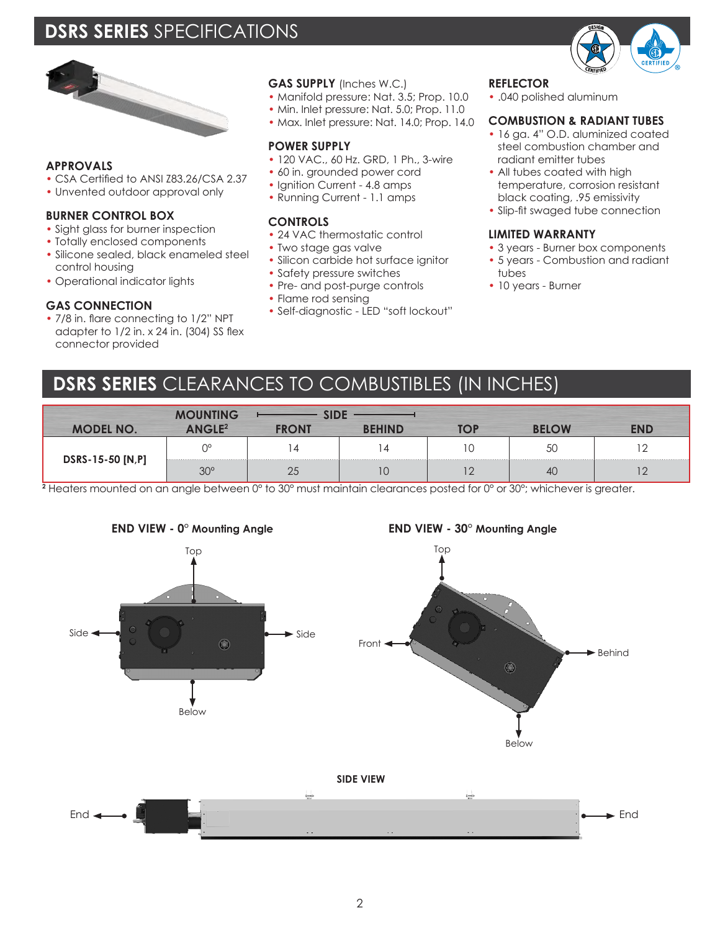## **DSRS SERIES** SPECIFICATIONS



#### **APPROVALS**

- CSA Certified to ANSI Z83.26/CSA 2.37
- Unvented outdoor approval only

#### **BURNER CONTROL BOX**

- Sight glass for burner inspection
- Totally enclosed components
- Silicone sealed, black enameled steel control housing
- Operational indicator lights

#### **GAS CONNECTION**

• 7/8 in. flare connecting to 1/2" NPT adapter to 1/2 in. x 24 in. (304) SS flex connector provided

#### **GAS SUPPLY** (Inches W.C.)

- Manifold pressure: Nat. 3.5; Prop. 10.0
- Min. Inlet pressure: Nat. 5.0; Prop. 11.0
- Max. Inlet pressure: Nat. 14.0; Prop. 14.0

#### **POWER SUPPLY**

- 120 VAC., 60 Hz. GRD, 1 Ph., 3-wire
- 60 in. grounded power cord
- Ignition Current 4.8 amps
- Running Current 1.1 amps

#### **CONTROLS**

- 24 VAC thermostatic control
- Two stage gas valve
- Silicon carbide hot surface ianitor • Safety pressure switches
- Pre- and post-purge controls
- Flame rod sensing
- Self-diagnostic LED "soft lockout"

#### **REFLECTOR**

• .040 polished aluminum

#### **COMBUSTION & RADIANT TUBES**

- 16 ga. 4" O.D. aluminized coated steel combustion chamber and radiant emitter tubes
- All tubes coated with high temperature, corrosion resistant black coating, .95 emissivity
- Slip-fit swaged tube connection

#### **LIMITED WARRANTY**

- 3 years Burner box components
- 5 years Combustion and radiant tubes
- 10 years Burner

## **DSRS SERIES** CLEARANCES TO COMBUSTIBLES (IN INCHES)

|                  | <b>INTING</b>      |              |             |     |     |
|------------------|--------------------|--------------|-------------|-----|-----|
| <b>MODEL NO.</b> | $\triangle NGIF^2$ | <b>FRONT</b> | <b>HIND</b> | OW  | FND |
|                  | $\bigcap$          |              |             | 5C  |     |
| DSRS-15-50 [N,P] | $30^\circ$         | ∠◡           |             | -40 |     |

**2** Heaters mounted on an angle between 0° to 30° must maintain clearances posted for 0° or 30°; whichever is greater.





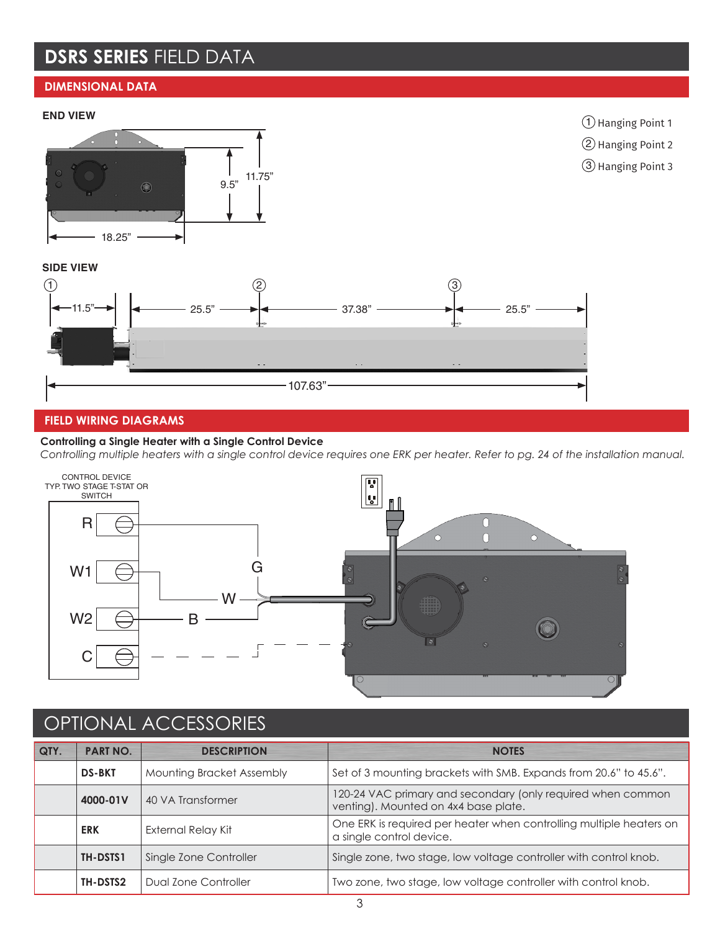## **DSRS SERIES** FIELD DATA

### **DIMENSIONAL DATA**

#### **END VIEW**





3 Hanging Point 3

#### **SIDE VIEW**



#### **FIELD WIRING DIAGRAMS**

#### **Controlling a Single Heater with a Single Control Device**

*Controlling multiple heaters with a single control device requires one ERK per heater. Refer to pg. 24 of the installation manual.*



## OPTIONAL ACCESSORIES

| QTY. | <b>PART NO.</b>                    | <b>DESCRIPTION</b>        | <b>NOTES</b>                                                                                        |  |  |
|------|------------------------------------|---------------------------|-----------------------------------------------------------------------------------------------------|--|--|
|      | <b>DS-BKT</b>                      | Mounting Bracket Assembly | Set of 3 mounting brackets with SMB. Expands from 20.6" to 45.6".                                   |  |  |
|      | 4000-01V                           | 40 VA Transformer         | 120-24 VAC primary and secondary (only required when common<br>venting). Mounted on 4x4 base plate. |  |  |
|      | <b>ERK</b>                         | External Relay Kit        | One ERK is required per heater when controlling multiple heaters on<br>a single control device.     |  |  |
|      | Single Zone Controller<br>TH-DSTS1 |                           | Single zone, two stage, low voltage controller with control knob.                                   |  |  |
|      | Dual Zone Controller<br>TH-DSTS2   |                           | Two zone, two stage, low voltage controller with control knob.                                      |  |  |